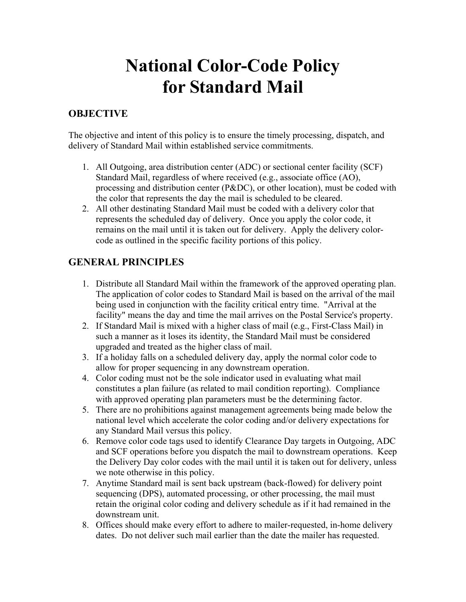# **National Color-Code Policy for Standard Mail**

### **OBJECTIVE**

The objective and intent of this policy is to ensure the timely processing, dispatch, and delivery of Standard Mail within established service commitments.

- 1. All Outgoing, area distribution center (ADC) or sectional center facility (SCF) Standard Mail, regardless of where received (e.g., associate office (AO), processing and distribution center (P&DC), or other location), must be coded with the color that represents the day the mail is scheduled to be cleared.
- 2. All other destinating Standard Mail must be coded with a delivery color that represents the scheduled day of delivery. Once you apply the color code, it remains on the mail until it is taken out for delivery. Apply the delivery colorcode as outlined in the specific facility portions of this policy.

### **GENERAL PRINCIPLES**

- 1. Distribute all Standard Mail within the framework of the approved operating plan. The application of color codes to Standard Mail is based on the arrival of the mail being used in conjunction with the facility critical entry time. "Arrival at the facility" means the day and time the mail arrives on the Postal Service's property.
- 2. If Standard Mail is mixed with a higher class of mail (e.g., First-Class Mail) in such a manner as it loses its identity, the Standard Mail must be considered upgraded and treated as the higher class of mail.
- 3. If a holiday falls on a scheduled delivery day, apply the normal color code to allow for proper sequencing in any downstream operation.
- 4. Color coding must not be the sole indicator used in evaluating what mail constitutes a plan failure (as related to mail condition reporting). Compliance with approved operating plan parameters must be the determining factor.
- 5. There are no prohibitions against management agreements being made below the national level which accelerate the color coding and/or delivery expectations for any Standard Mail versus this policy.
- 6. Remove color code tags used to identify Clearance Day targets in Outgoing, ADC and SCF operations before you dispatch the mail to downstream operations. Keep the Delivery Day color codes with the mail until it is taken out for delivery, unless we note otherwise in this policy.
- 7. Anytime Standard mail is sent back upstream (back-flowed) for delivery point sequencing (DPS), automated processing, or other processing, the mail must retain the original color coding and delivery schedule as if it had remained in the downstream unit.
- 8. Offices should make every effort to adhere to mailer-requested, in-home delivery dates. Do not deliver such mail earlier than the date the mailer has requested.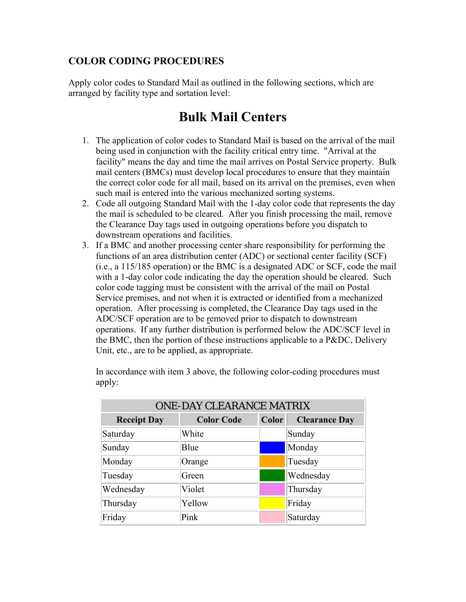#### **COLOR CODING PROCEDURES**

Apply color codes to Standard Mail as outlined in the following sections, which are arranged by facility type and sortation level:

### **Bulk Mail Centers**

- 1. The application of color codes to Standard Mail is based on the arrival of the mail being used in conjunction with the facility critical entry time. "Arrival at the facility" means the day and time the mail arrives on Postal Service property. Bulk mail centers (BMCs) must develop local procedures to ensure that they maintain the correct color code for all mail, based on its arrival on the premises, even when such mail is entered into the various mechanized sorting systems.
- 2. Code all outgoing Standard Mail with the 1-day color code that represents the day the mail is scheduled to be cleared. After you finish processing the mail, remove the Clearance Day tags used in outgoing operations before you dispatch to downstream operations and facilities.
- 3. If a BMC and another processing center share responsibility for performing the functions of an area distribution center (ADC) or sectional center facility (SCF) (i.e., a 115/185 operation) or the BMC is a designated ADC or SCF, code the mail with a 1-day color code indicating the day the operation should be cleared. Such color code tagging must be consistent with the arrival of the mail on Postal Service premises, and not when it is extracted or identified from a mechanized operation. After processing is completed, the Clearance Day tags used in the ADC/SCF operation are to be removed prior to dispatch to downstream operations. If any further distribution is performed below the ADC/SCF level in the BMC, then the portion of these instructions applicable to a P&DC, Delivery Unit, etc., are to be applied, as appropriate.

ONE-DAV CLEARANCE MATRIX **Receipt Day Color Code Color Clearance Day** Saturday White Sunday Sunday Blue **Notifiantly** Blue

In accordance with item 3 above, the following color-coding procedures must apply:

| UNE-DAT CEEARANCE MATRIX |                   |       |                      |
|--------------------------|-------------------|-------|----------------------|
| <b>Receipt Day</b>       | <b>Color Code</b> | Color | <b>Clearance Day</b> |
| Saturday                 | White             |       | Sunday               |
| Sunday                   | Blue              |       | Monday               |
| Monday                   | Orange            |       | Tuesday              |
| Tuesday                  | Green             |       | Wednesday            |
| Wednesday                | Violet            |       | Thursday             |
| Thursday                 | Yellow            |       | Friday               |
| Friday                   | Pink              |       | Saturday             |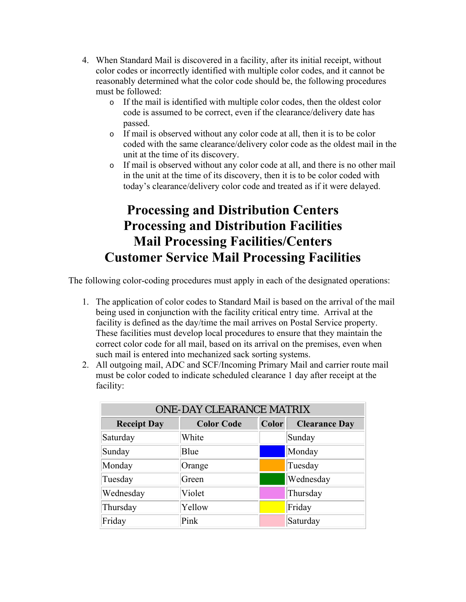- 4. When Standard Mail is discovered in a facility, after its initial receipt, without color codes or incorrectly identified with multiple color codes, and it cannot be reasonably determined what the color code should be, the following procedures must be followed:
	- o If the mail is identified with multiple color codes, then the oldest color code is assumed to be correct, even if the clearance/delivery date has passed.
	- o If mail is observed without any color code at all, then it is to be color coded with the same clearance/delivery color code as the oldest mail in the unit at the time of its discovery.
	- o If mail is observed without any color code at all, and there is no other mail in the unit at the time of its discovery, then it is to be color coded with today's clearance/delivery color code and treated as if it were delayed.

## **Processing and Distribution Centers Processing and Distribution Facilities Mail Processing Facilities/Centers Customer Service Mail Processing Facilities**

The following color-coding procedures must apply in each of the designated operations:

- 1. The application of color codes to Standard Mail is based on the arrival of the mail being used in conjunction with the facility critical entry time. Arrival at the facility is defined as the day/time the mail arrives on Postal Service property. These facilities must develop local procedures to ensure that they maintain the correct color code for all mail, based on its arrival on the premises, even when such mail is entered into mechanized sack sorting systems.
- 2. All outgoing mail, ADC and SCF/Incoming Primary Mail and carrier route mail must be color coded to indicate scheduled clearance 1 day after receipt at the facility:

| <b>ONE-DAY CLEARANCE MATRIX</b> |                   |       |                      |
|---------------------------------|-------------------|-------|----------------------|
| <b>Receipt Day</b>              | <b>Color Code</b> | Color | <b>Clearance Day</b> |
| Saturday                        | White             |       | Sunday               |
| Sunday                          | Blue              |       | Monday               |
| Monday                          | Orange            |       | Tuesday              |
| Tuesday                         | Green             |       | Wednesday            |
| Wednesday                       | Violet            |       | Thursday             |
| Thursday                        | Yellow            |       | Friday               |
| Friday                          | Pink              |       | Saturday             |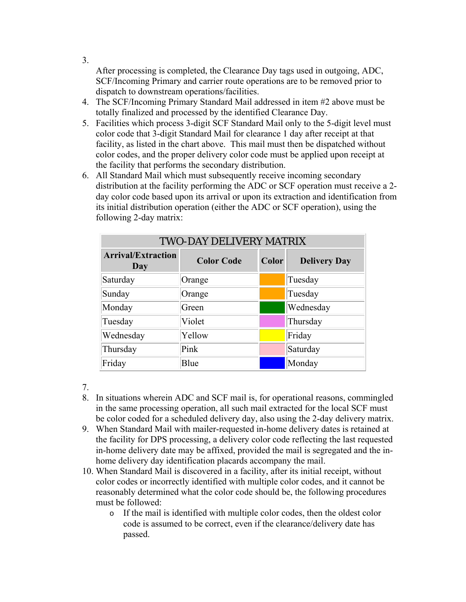After processing is completed, the Clearance Day tags used in outgoing, ADC, SCF/Incoming Primary and carrier route operations are to be removed prior to dispatch to downstream operations/facilities.

- 4. The SCF/Incoming Primary Standard Mail addressed in item #2 above must be totally finalized and processed by the identified Clearance Day.
- 5. Facilities which process 3-digit SCF Standard Mail only to the 5-digit level must color code that 3-digit Standard Mail for clearance 1 day after receipt at that facility, as listed in the chart above. This mail must then be dispatched without color codes, and the proper delivery color code must be applied upon receipt at the facility that performs the secondary distribution.
- 6. All Standard Mail which must subsequently receive incoming secondary distribution at the facility performing the ADC or SCF operation must receive a 2 day color code based upon its arrival or upon its extraction and identification from its initial distribution operation (either the ADC or SCF operation), using the following 2-day matrix:

| <b>TWO-DAY DELIVERY MATRIX</b>   |                   |              |                     |
|----------------------------------|-------------------|--------------|---------------------|
| <b>Arrival/Extraction</b><br>Day | <b>Color Code</b> | <b>Color</b> | <b>Delivery Day</b> |
| Saturday                         | Orange            |              | Tuesday             |
| Sunday                           | Orange            |              | Tuesday             |
| Monday                           | Green             |              | Wednesday           |
| Tuesday                          | Violet            |              | Thursday            |
| Wednesday                        | Yellow            |              | Friday              |
| Thursday                         | Pink              |              | Saturday            |
| Friday                           | Blue              |              | Monday              |

7.

- 8. In situations wherein ADC and SCF mail is, for operational reasons, commingled in the same processing operation, all such mail extracted for the local SCF must be color coded for a scheduled delivery day, also using the 2-day delivery matrix.
- 9. When Standard Mail with mailer-requested in-home delivery dates is retained at the facility for DPS processing, a delivery color code reflecting the last requested in-home delivery date may be affixed, provided the mail is segregated and the inhome delivery day identification placards accompany the mail.
- 10. When Standard Mail is discovered in a facility, after its initial receipt, without color codes or incorrectly identified with multiple color codes, and it cannot be reasonably determined what the color code should be, the following procedures must be followed:
	- o If the mail is identified with multiple color codes, then the oldest color code is assumed to be correct, even if the clearance/delivery date has passed.

3.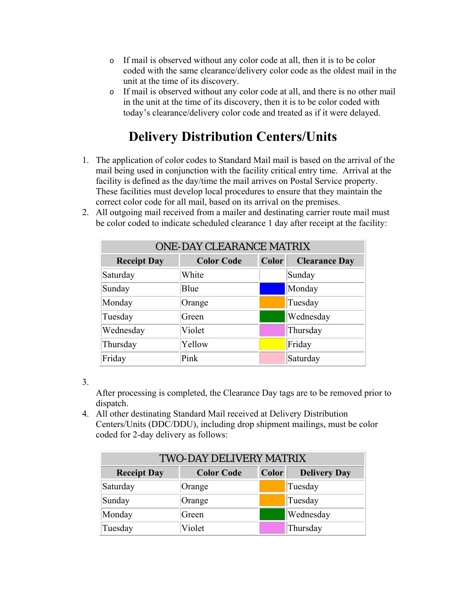- o If mail is observed without any color code at all, then it is to be color coded with the same clearance/delivery color code as the oldest mail in the unit at the time of its discovery.
- o If mail is observed without any color code at all, and there is no other mail in the unit at the time of its discovery, then it is to be color coded with today's clearance/delivery color code and treated as if it were delayed.

# **Delivery Distribution Centers/Units**

- 1. The application of color codes to Standard Mail mail is based on the arrival of the mail being used in conjunction with the facility critical entry time. Arrival at the facility is defined as the day/time the mail arrives on Postal Service property. These facilities must develop local procedures to ensure that they maintain the correct color code for all mail, based on its arrival on the premises.
- 2. All outgoing mail received from a mailer and destinating carrier route mail must be color coded to indicate scheduled clearance 1 day after receipt at the facility:

| <b>ONE-DAY CLEARANCE MATRIX</b> |                   |       |                      |
|---------------------------------|-------------------|-------|----------------------|
| <b>Receipt Day</b>              | <b>Color Code</b> | Color | <b>Clearance Day</b> |
| Saturday                        | White             |       | Sunday               |
| Sunday                          | Blue              |       | Monday               |
| Monday                          | Orange            |       | Tuesday              |
| Tuesday                         | Green             |       | Wednesday            |
| Wednesday                       | Violet            |       | Thursday             |
| Thursday                        | Yellow            |       | Friday               |
| Friday                          | Pink              |       | Saturday             |

3.

After processing is completed, the Clearance Day tags are to be removed prior to dispatch.

4. All other destinating Standard Mail received at Delivery Distribution Centers/Units (DDC/DDU), including drop shipment mailings, must be color coded for 2-day delivery as follows:

| <b>TWO-DAY DELIVERY MATRIX</b> |                   |              |                     |
|--------------------------------|-------------------|--------------|---------------------|
| <b>Receipt Day</b>             | <b>Color Code</b> | <b>Color</b> | <b>Delivery Day</b> |
| Saturday                       | Orange            |              | Tuesday             |
| Sunday                         | Orange            |              | Tuesday             |
| Monday                         | Green             |              | Wednesday           |
| Tuesday                        | Violet            |              | Thursday            |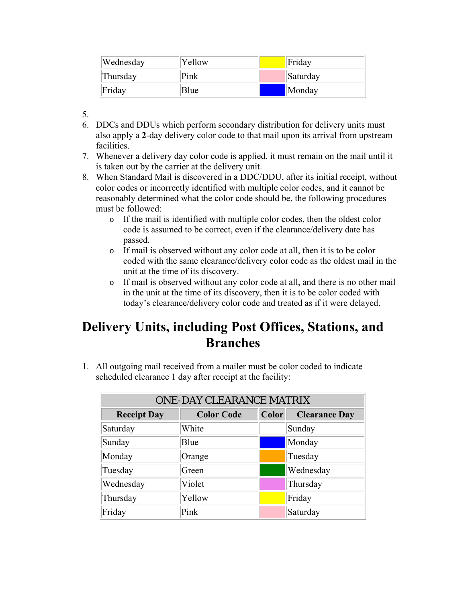| Wednesday | Yellow | Friday   |
|-----------|--------|----------|
| Thursday  | Pink   | Saturday |
| Friday    | Blue   | Monday   |

5.

- 6. DDCs and DDUs which perform secondary distribution for delivery units must also apply a **2**-day delivery color code to that mail upon its arrival from upstream facilities.
- 7. Whenever a delivery day color code is applied, it must remain on the mail until it is taken out by the carrier at the delivery unit.
- 8. When Standard Mail is discovered in a DDC/DDU, after its initial receipt, without color codes or incorrectly identified with multiple color codes, and it cannot be reasonably determined what the color code should be, the following procedures must be followed:
	- o If the mail is identified with multiple color codes, then the oldest color code is assumed to be correct, even if the clearance/delivery date has passed.
	- o If mail is observed without any color code at all, then it is to be color coded with the same clearance/delivery color code as the oldest mail in the unit at the time of its discovery.
	- o If mail is observed without any color code at all, and there is no other mail in the unit at the time of its discovery, then it is to be color coded with today's clearance/delivery color code and treated as if it were delayed.

### **Delivery Units, including Post Offices, Stations, and Branches**

1. All outgoing mail received from a mailer must be color coded to indicate scheduled clearance 1 day after receipt at the facility:

| <b>ONE-DAY CLEARANCE MATRIX</b> |                   |              |                      |
|---------------------------------|-------------------|--------------|----------------------|
| <b>Receipt Day</b>              | <b>Color Code</b> | <b>Color</b> | <b>Clearance Day</b> |
| Saturday                        | White             |              | Sunday               |
| Sunday                          | Blue              |              | Monday               |
| Monday                          | Orange            |              | Tuesday              |
| Tuesday                         | Green             |              | Wednesday            |
| Wednesday                       | Violet            |              | Thursday             |
| Thursday                        | Yellow            |              | Friday               |
| Friday                          | Pink              |              | Saturday             |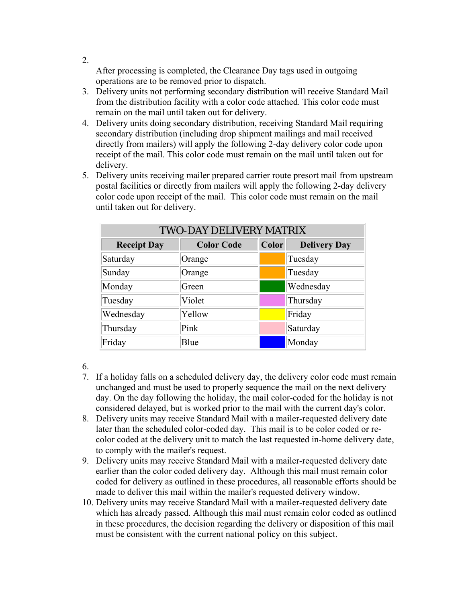After processing is completed, the Clearance Day tags used in outgoing operations are to be removed prior to dispatch.

- 3. Delivery units not performing secondary distribution will receive Standard Mail from the distribution facility with a color code attached. This color code must remain on the mail until taken out for delivery.
- 4. Delivery units doing secondary distribution, receiving Standard Mail requiring secondary distribution (including drop shipment mailings and mail received directly from mailers) will apply the following 2-day delivery color code upon receipt of the mail. This color code must remain on the mail until taken out for delivery.
- 5. Delivery units receiving mailer prepared carrier route presort mail from upstream postal facilities or directly from mailers will apply the following 2-day delivery color code upon receipt of the mail. This color code must remain on the mail until taken out for delivery.

| <b>TWO-DAY DELIVERY MATRIX</b> |                   |       |                     |
|--------------------------------|-------------------|-------|---------------------|
| <b>Receipt Day</b>             | <b>Color Code</b> | Color | <b>Delivery Day</b> |
| Saturday                       | Orange            |       | Tuesday             |
| Sunday                         | Orange            |       | Tuesday             |
| Monday                         | Green             |       | Wednesday           |
| Tuesday                        | Violet            |       | Thursday            |
| Wednesday                      | Yellow            |       | Friday              |
| Thursday                       | Pink              |       | Saturday            |
| Friday                         | Blue              |       | Monday              |

6.

- 7. If a holiday falls on a scheduled delivery day, the delivery color code must remain unchanged and must be used to properly sequence the mail on the next delivery day. On the day following the holiday, the mail color-coded for the holiday is not considered delayed, but is worked prior to the mail with the current day's color.
- 8. Delivery units may receive Standard Mail with a mailer-requested delivery date later than the scheduled color-coded day. This mail is to be color coded or recolor coded at the delivery unit to match the last requested in-home delivery date, to comply with the mailer's request.
- 9. Delivery units may receive Standard Mail with a mailer-requested delivery date earlier than the color coded delivery day. Although this mail must remain color coded for delivery as outlined in these procedures, all reasonable efforts should be made to deliver this mail within the mailer's requested delivery window.
- 10. Delivery units may receive Standard Mail with a mailer-requested delivery date which has already passed. Although this mail must remain color coded as outlined in these procedures, the decision regarding the delivery or disposition of this mail must be consistent with the current national policy on this subject.

2.